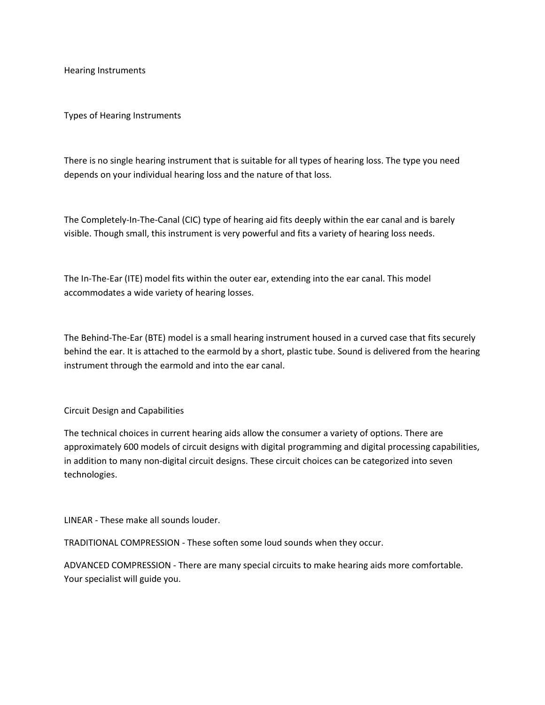Hearing Instruments

Types of Hearing Instruments

There is no single hearing instrument that is suitable for all types of hearing loss. The type you need depends on your individual hearing loss and the nature of that loss.

The Completely-In-The-Canal (CIC) type of hearing aid fits deeply within the ear canal and is barely visible. Though small, this instrument is very powerful and fits a variety of hearing loss needs.

The In-The-Ear (ITE) model fits within the outer ear, extending into the ear canal. This model accommodates a wide variety of hearing losses.

The Behind-The-Ear (BTE) model is a small hearing instrument housed in a curved case that fits securely behind the ear. It is attached to the earmold by a short, plastic tube. Sound is delivered from the hearing instrument through the earmold and into the ear canal.

Circuit Design and Capabilities

The technical choices in current hearing aids allow the consumer a variety of options. There are approximately 600 models of circuit designs with digital programming and digital processing capabilities, in addition to many non-digital circuit designs. These circuit choices can be categorized into seven technologies.

LINEAR - These make all sounds louder.

TRADITIONAL COMPRESSION - These soften some loud sounds when they occur.

ADVANCED COMPRESSION - There are many special circuits to make hearing aids more comfortable. Your specialist will guide you.